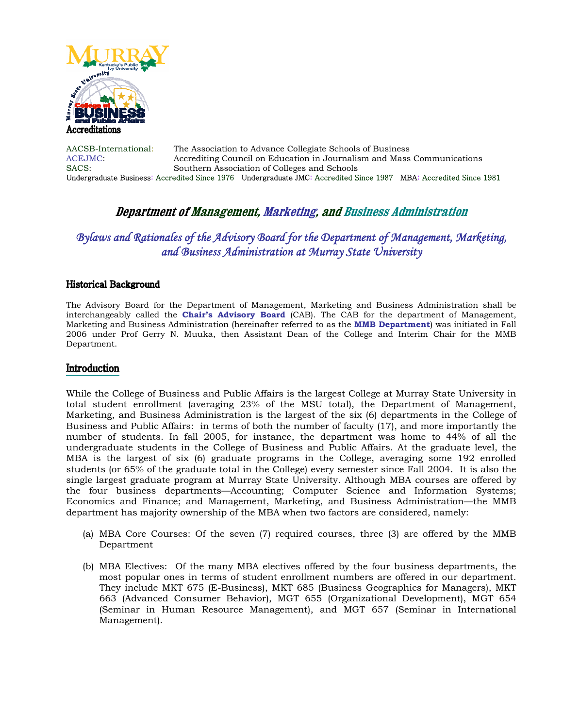

AACSB-International: The Association to Advance Collegiate Schools of Business ACEJMC: Accrediting Council on Education in Journalism and Mass Communications SACS: Southern Association of Colleges and Schools Undergraduate Business: Accredited Since 1976 Undergraduate JMC: Accredited Since 1987 MBA: Accredited Since 1981

## **Department of Management, Marketing, and Business Administration**

# *Bylaws and Rationales of the Advisory Board for the Department of Management, Marketing, and Business Administration at Murray State University*

### **Historical Background**

The Advisory Board for the Department of Management, Marketing and Business Administration shall be interchangeably called the **Chair's Advisory Board** (CAB). The CAB for the department of Management, Marketing and Business Administration (hereinafter referred to as the **MMB Department**) was initiated in Fall 2006 under Prof Gerry N. Muuka, then Assistant Dean of the College and Interim Chair for the MMB Department.

### Introduction

While the College of Business and Public Affairs is the largest College at Murray State University in total student enrollment (averaging 23% of the MSU total), the Department of Management, Marketing, and Business Administration is the largest of the six (6) departments in the College of Business and Public Affairs: in terms of both the number of faculty (17), and more importantly the number of students. In fall 2005, for instance, the department was home to 44% of all the undergraduate students in the College of Business and Public Affairs. At the graduate level, the MBA is the largest of six (6) graduate programs in the College, averaging some 192 enrolled students (or 65% of the graduate total in the College) every semester since Fall 2004. It is also the single largest graduate program at Murray State University. Although MBA courses are offered by the four business departments—Accounting; Computer Science and Information Systems; Economics and Finance; and Management, Marketing, and Business Administration—the MMB department has majority ownership of the MBA when two factors are considered, namely:

- (a) MBA Core Courses: Of the seven (7) required courses, three (3) are offered by the MMB Department
- (b) MBA Electives: Of the many MBA electives offered by the four business departments, the most popular ones in terms of student enrollment numbers are offered in our department. They include MKT 675 (E-Business), MKT 685 (Business Geographics for Managers), MKT 663 (Advanced Consumer Behavior), MGT 655 (Organizational Development), MGT 654 (Seminar in Human Resource Management), and MGT 657 (Seminar in International Management).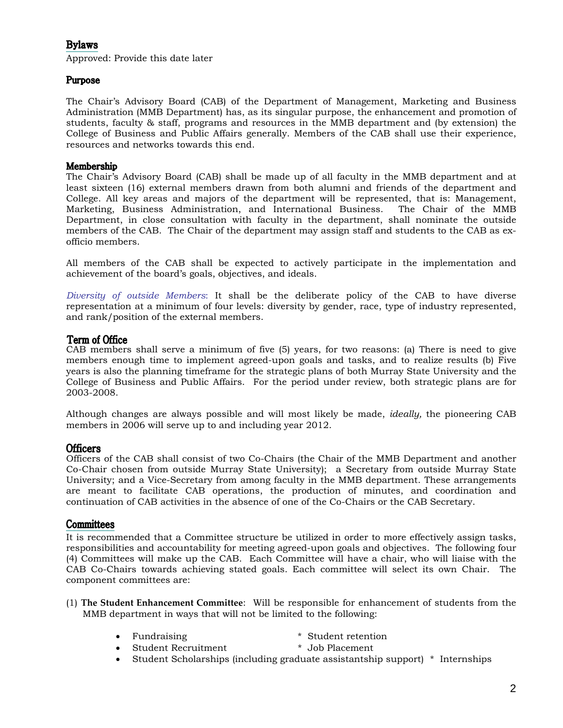## **Bylaws**

Approved: Provide this date later

### Purpose

The Chair's Advisory Board (CAB) of the Department of Management, Marketing and Business Administration (MMB Department) has, as its singular purpose, the enhancement and promotion of students, faculty & staff, programs and resources in the MMB department and (by extension) the College of Business and Public Affairs generally. Members of the CAB shall use their experience, resources and networks towards this end.

### Membership

The Chair's Advisory Board (CAB) shall be made up of all faculty in the MMB department and at least sixteen (16) external members drawn from both alumni and friends of the department and College. All key areas and majors of the department will be represented, that is: Management, Marketing, Business Administration, and International Business. The Chair of the MMB Department, in close consultation with faculty in the department, shall nominate the outside members of the CAB. The Chair of the department may assign staff and students to the CAB as exofficio members.

All members of the CAB shall be expected to actively participate in the implementation and achievement of the board's goals, objectives, and ideals.

*Diversity of outside Members*: It shall be the deliberate policy of the CAB to have diverse representation at a minimum of four levels: diversity by gender, race, type of industry represented, and rank/position of the external members.

### Term of Office

CAB members shall serve a minimum of five (5) years, for two reasons: (a) There is need to give members enough time to implement agreed-upon goals and tasks, and to realize results (b) Five years is also the planning timeframe for the strategic plans of both Murray State University and the College of Business and Public Affairs. For the period under review, both strategic plans are for 2003-2008.

Although changes are always possible and will most likely be made, *ideally,* the pioneering CAB members in 2006 will serve up to and including year 2012.

### **Officers**

Officers of the CAB shall consist of two Co-Chairs (the Chair of the MMB Department and another Co-Chair chosen from outside Murray State University); a Secretary from outside Murray State University; and a Vice-Secretary from among faculty in the MMB department. These arrangements are meant to facilitate CAB operations, the production of minutes, and coordination and continuation of CAB activities in the absence of one of the Co-Chairs or the CAB Secretary.

### Committees

It is recommended that a Committee structure be utilized in order to more effectively assign tasks, responsibilities and accountability for meeting agreed-upon goals and objectives. The following four (4) Committees will make up the CAB. Each Committee will have a chair, who will liaise with the CAB Co-Chairs towards achieving stated goals. Each committee will select its own Chair. The component committees are:

- (1) **The Student Enhancement Committee**: Will be responsible for enhancement of students from the MMB department in ways that will not be limited to the following:
	- Fundraising \* \* Student retention<br>• Student Recruitment \* Job Placement
	- Student Recruitment
	- Student Scholarships (including graduate assistantship support) \* Internships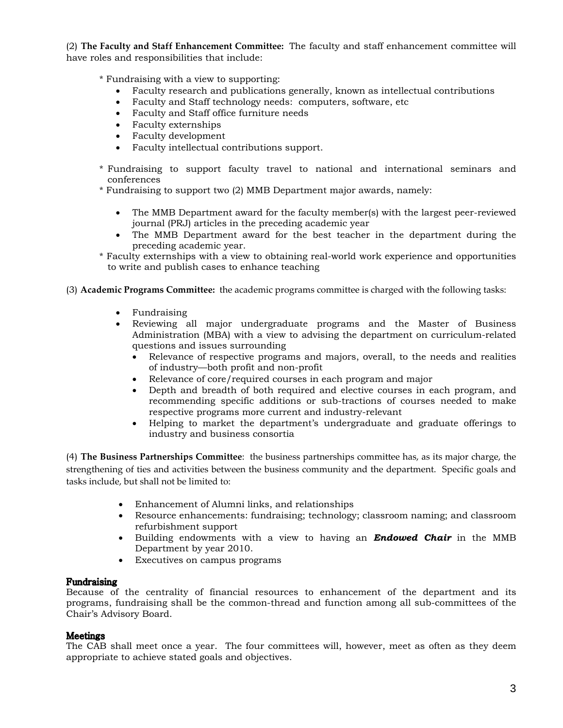(2) **The Faculty and Staff Enhancement Committee:** The faculty and staff enhancement committee will have roles and responsibilities that include:

\* Fundraising with a view to supporting:

- Faculty research and publications generally, known as intellectual contributions
- Faculty and Staff technology needs: computers, software, etc
- Faculty and Staff office furniture needs
- Faculty externships
- Faculty development
- Faculty intellectual contributions support.
- \* Fundraising to support faculty travel to national and international seminars and conferences
- \* Fundraising to support two (2) MMB Department major awards, namely:
	- The MMB Department award for the faculty member(s) with the largest peer-reviewed journal (PRJ) articles in the preceding academic year
	- The MMB Department award for the best teacher in the department during the preceding academic year.
- \* Faculty externships with a view to obtaining real-world work experience and opportunities to write and publish cases to enhance teaching
- (3) **Academic Programs Committee:** the academic programs committee is charged with the following tasks:
	- Fundraising
	- Reviewing all major undergraduate programs and the Master of Business Administration (MBA) with a view to advising the department on curriculum-related questions and issues surrounding
		- Relevance of respective programs and majors, overall, to the needs and realities of industry—both profit and non-profit
		- Relevance of core/required courses in each program and major
		- Depth and breadth of both required and elective courses in each program, and recommending specific additions or sub-tractions of courses needed to make respective programs more current and industry-relevant
		- Helping to market the department's undergraduate and graduate offerings to industry and business consortia

(4) **The Business Partnerships Committee**: the business partnerships committee has, as its major charge, the strengthening of ties and activities between the business community and the department. Specific goals and tasks include, but shall not be limited to:

- Enhancement of Alumni links, and relationships
- Resource enhancements: fundraising; technology; classroom naming; and classroom refurbishment support
- Building endowments with a view to having an *Endowed Chair* in the MMB Department by year 2010.
- Executives on campus programs

### Fundraising

Because of the centrality of financial resources to enhancement of the department and its programs, fundraising shall be the common-thread and function among all sub-committees of the Chair's Advisory Board.

### **Meetings**

The CAB shall meet once a year. The four committees will, however, meet as often as they deem appropriate to achieve stated goals and objectives.